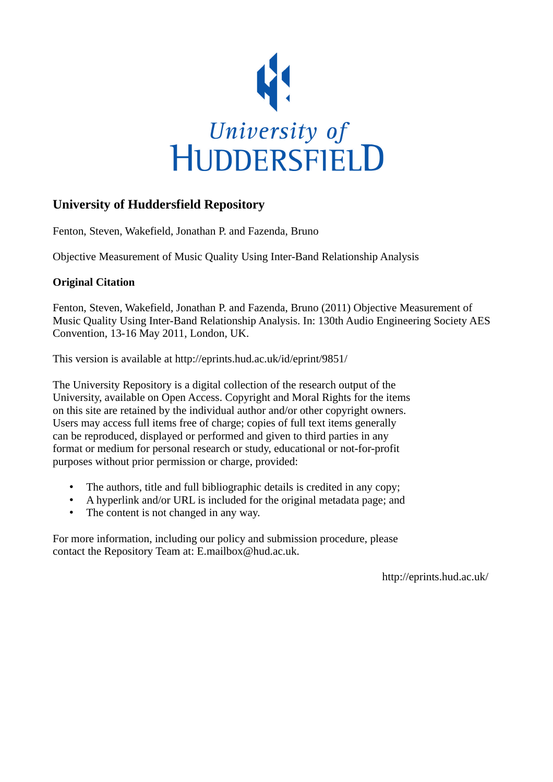

# **University of Huddersfield Repository**

Fenton, Steven, Wakefield, Jonathan P. and Fazenda, Bruno

Objective Measurement of Music Quality Using Inter-Band Relationship Analysis

# **Original Citation**

Fenton, Steven, Wakefield, Jonathan P. and Fazenda, Bruno (2011) Objective Measurement of Music Quality Using Inter-Band Relationship Analysis. In: 130th Audio Engineering Society AES Convention, 13-16 May 2011, London, UK.

This version is available at http://eprints.hud.ac.uk/id/eprint/9851/

The University Repository is a digital collection of the research output of the University, available on Open Access. Copyright and Moral Rights for the items on this site are retained by the individual author and/or other copyright owners. Users may access full items free of charge; copies of full text items generally can be reproduced, displayed or performed and given to third parties in any format or medium for personal research or study, educational or not-for-profit purposes without prior permission or charge, provided:

- The authors, title and full bibliographic details is credited in any copy;
- A hyperlink and/or URL is included for the original metadata page; and
- The content is not changed in any way.

For more information, including our policy and submission procedure, please contact the Repository Team at: E.mailbox@hud.ac.uk.

http://eprints.hud.ac.uk/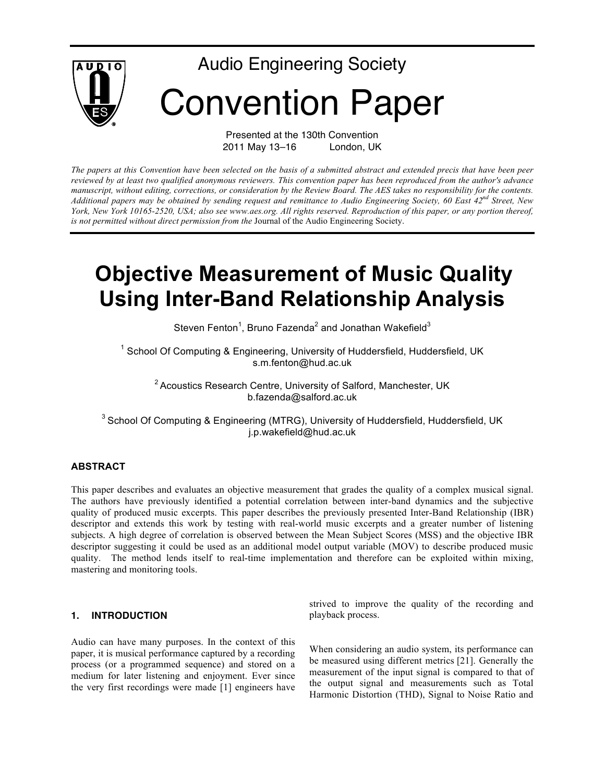

Presented at the 130th Convention 2011 May 13–16 London, UK

*The papers at this Convention have been selected on the basis of a submitted abstract and extended precis that have been peer reviewed by at least two qualified anonymous reviewers. This convention paper has been reproduced from the author's advance manuscript, without editing, corrections, or consideration by the Review Board. The AES takes no responsibility for the contents. Additional papers may be obtained by sending request and remittance to Audio Engineering Society, 60 East 42nd Street, New York, New York 10165-2520, USA; also see www.aes.org. All rights reserved. Reproduction of this paper, or any portion thereof, is not permitted without direct permission from the* Journal of the Audio Engineering Society.

# **Objective Measurement of Music Quality Using Inter-Band Relationship Analysis**

Steven Fenton<sup>1</sup>, Bruno Fazenda<sup>2</sup> and Jonathan Wakefield $^3$ 

 $1$  School Of Computing & Engineering, University of Huddersfield, Huddersfield, UK s.m.fenton@hud.ac.uk

 $2$  Acoustics Research Centre, University of Salford, Manchester, UK b.fazenda@salford.ac.uk

<sup>3</sup> School Of Computing & Engineering (MTRG), University of Huddersfield, Huddersfield, UK j.p.wakefield@hud.ac.uk

#### **ABSTRACT**

This paper describes and evaluates an objective measurement that grades the quality of a complex musical signal. The authors have previously identified a potential correlation between inter-band dynamics and the subjective quality of produced music excerpts. This paper describes the previously presented Inter-Band Relationship (IBR) descriptor and extends this work by testing with real-world music excerpts and a greater number of listening subjects. A high degree of correlation is observed between the Mean Subject Scores (MSS) and the objective IBR descriptor suggesting it could be used as an additional model output variable (MOV) to describe produced music quality. The method lends itself to real-time implementation and therefore can be exploited within mixing, mastering and monitoring tools.

#### **1. INTRODUCTION**

Audio can have many purposes. In the context of this paper, it is musical performance captured by a recording process (or a programmed sequence) and stored on a medium for later listening and enjoyment. Ever since the very first recordings were made [1] engineers have strived to improve the quality of the recording and playback process.

When considering an audio system, its performance can be measured using different metrics [21]. Generally the measurement of the input signal is compared to that of the output signal and measurements such as Total Harmonic Distortion (THD), Signal to Noise Ratio and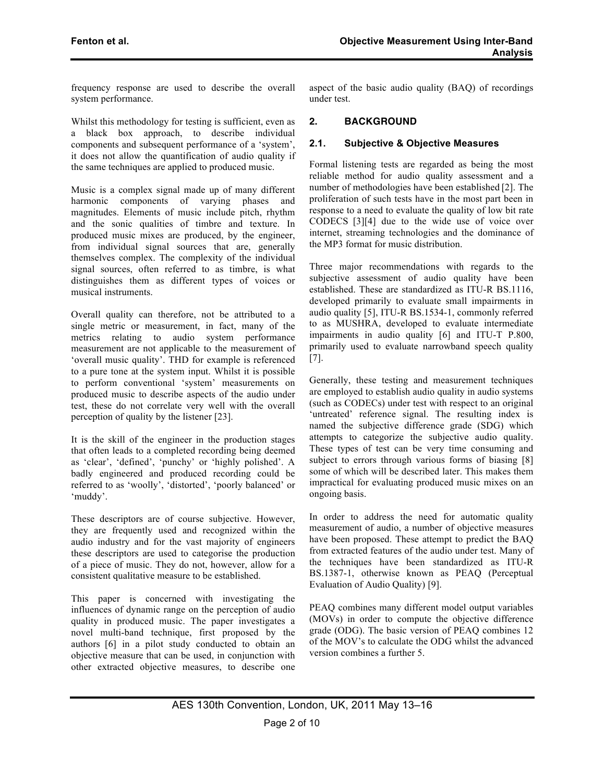frequency response are used to describe the overall system performance.

Whilst this methodology for testing is sufficient, even as a black box approach, to describe individual components and subsequent performance of a 'system', it does not allow the quantification of audio quality if the same techniques are applied to produced music.

Music is a complex signal made up of many different harmonic components of varying phases and magnitudes. Elements of music include pitch, rhythm and the sonic qualities of timbre and texture. In produced music mixes are produced, by the engineer, from individual signal sources that are, generally themselves complex. The complexity of the individual signal sources, often referred to as timbre, is what distinguishes them as different types of voices or musical instruments.

Overall quality can therefore, not be attributed to a single metric or measurement, in fact, many of the metrics relating to audio system performance measurement are not applicable to the measurement of 'overall music quality'. THD for example is referenced to a pure tone at the system input. Whilst it is possible to perform conventional 'system' measurements on produced music to describe aspects of the audio under test, these do not correlate very well with the overall perception of quality by the listener [23].

It is the skill of the engineer in the production stages that often leads to a completed recording being deemed as 'clear', 'defined', 'punchy' or 'highly polished'. A badly engineered and produced recording could be referred to as 'woolly', 'distorted', 'poorly balanced' or 'muddy'.

These descriptors are of course subjective. However, they are frequently used and recognized within the audio industry and for the vast majority of engineers these descriptors are used to categorise the production of a piece of music. They do not, however, allow for a consistent qualitative measure to be established.

This paper is concerned with investigating the influences of dynamic range on the perception of audio quality in produced music. The paper investigates a novel multi-band technique, first proposed by the authors [6] in a pilot study conducted to obtain an objective measure that can be used, in conjunction with other extracted objective measures, to describe one aspect of the basic audio quality (BAQ) of recordings under test.

# **2. BACKGROUND**

#### **2.1. Subjective & Objective Measures**

Formal listening tests are regarded as being the most reliable method for audio quality assessment and a number of methodologies have been established [2]. The proliferation of such tests have in the most part been in response to a need to evaluate the quality of low bit rate CODECS [3][4] due to the wide use of voice over internet, streaming technologies and the dominance of the MP3 format for music distribution.

Three major recommendations with regards to the subjective assessment of audio quality have been established. These are standardized as ITU-R BS.1116, developed primarily to evaluate small impairments in audio quality [5], ITU-R BS.1534-1, commonly referred to as MUSHRA, developed to evaluate intermediate impairments in audio quality [6] and ITU-T P.800, primarily used to evaluate narrowband speech quality [7].

Generally, these testing and measurement techniques are employed to establish audio quality in audio systems (such as CODECs) under test with respect to an original 'untreated' reference signal. The resulting index is named the subjective difference grade (SDG) which attempts to categorize the subjective audio quality. These types of test can be very time consuming and subject to errors through various forms of biasing [8] some of which will be described later. This makes them impractical for evaluating produced music mixes on an ongoing basis.

In order to address the need for automatic quality measurement of audio, a number of objective measures have been proposed. These attempt to predict the BAQ from extracted features of the audio under test. Many of the techniques have been standardized as ITU-R BS.1387-1, otherwise known as PEAQ (Perceptual Evaluation of Audio Quality) [9].

PEAQ combines many different model output variables (MOVs) in order to compute the objective difference grade (ODG). The basic version of PEAQ combines 12 of the MOV's to calculate the ODG whilst the advanced version combines a further 5.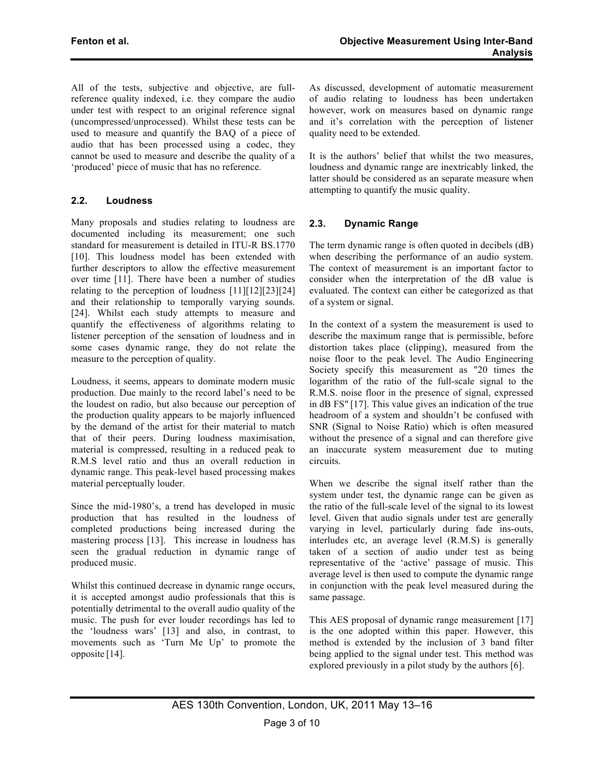All of the tests, subjective and objective, are fullreference quality indexed, i.e. they compare the audio under test with respect to an original reference signal (uncompressed/unprocessed). Whilst these tests can be used to measure and quantify the BAQ of a piece of audio that has been processed using a codec, they cannot be used to measure and describe the quality of a 'produced' piece of music that has no reference.

# **2.2. Loudness**

Many proposals and studies relating to loudness are documented including its measurement; one such standard for measurement is detailed in ITU-R BS.1770 [10]. This loudness model has been extended with further descriptors to allow the effective measurement over time [11]. There have been a number of studies relating to the perception of loudness [11][12][23][24] and their relationship to temporally varying sounds. [24]. Whilst each study attempts to measure and quantify the effectiveness of algorithms relating to listener perception of the sensation of loudness and in some cases dynamic range, they do not relate the measure to the perception of quality.

Loudness, it seems, appears to dominate modern music production. Due mainly to the record label's need to be the loudest on radio, but also because our perception of the production quality appears to be majorly influenced by the demand of the artist for their material to match that of their peers. During loudness maximisation, material is compressed, resulting in a reduced peak to R.M.S level ratio and thus an overall reduction in dynamic range. This peak-level based processing makes material perceptually louder.

Since the mid-1980's, a trend has developed in music production that has resulted in the loudness of completed productions being increased during the mastering process [13]. This increase in loudness has seen the gradual reduction in dynamic range of produced music.

Whilst this continued decrease in dynamic range occurs, it is accepted amongst audio professionals that this is potentially detrimental to the overall audio quality of the music. The push for ever louder recordings has led to the 'loudness wars' [13] and also, in contrast, to movements such as 'Turn Me Up' to promote the opposite [14].

As discussed, development of automatic measurement of audio relating to loudness has been undertaken however, work on measures based on dynamic range and it's correlation with the perception of listener quality need to be extended.

It is the authors' belief that whilst the two measures, loudness and dynamic range are inextricably linked, the latter should be considered as an separate measure when attempting to quantify the music quality.

## **2.3. Dynamic Range**

The term dynamic range is often quoted in decibels (dB) when describing the performance of an audio system. The context of measurement is an important factor to consider when the interpretation of the dB value is evaluated. The context can either be categorized as that of a system or signal.

In the context of a system the measurement is used to describe the maximum range that is permissible, before distortion takes place (clipping), measured from the noise floor to the peak level. The Audio Engineering Society specify this measurement as "20 times the logarithm of the ratio of the full-scale signal to the R.M.S. noise floor in the presence of signal, expressed in dB FS" [17]. This value gives an indication of the true headroom of a system and shouldn't be confused with SNR (Signal to Noise Ratio) which is often measured without the presence of a signal and can therefore give an inaccurate system measurement due to muting circuits.

When we describe the signal itself rather than the system under test, the dynamic range can be given as the ratio of the full-scale level of the signal to its lowest level. Given that audio signals under test are generally varying in level, particularly during fade ins-outs, interludes etc, an average level (R.M.S) is generally taken of a section of audio under test as being representative of the 'active' passage of music. This average level is then used to compute the dynamic range in conjunction with the peak level measured during the same passage.

This AES proposal of dynamic range measurement [17] is the one adopted within this paper. However, this method is extended by the inclusion of 3 band filter being applied to the signal under test. This method was explored previously in a pilot study by the authors [6].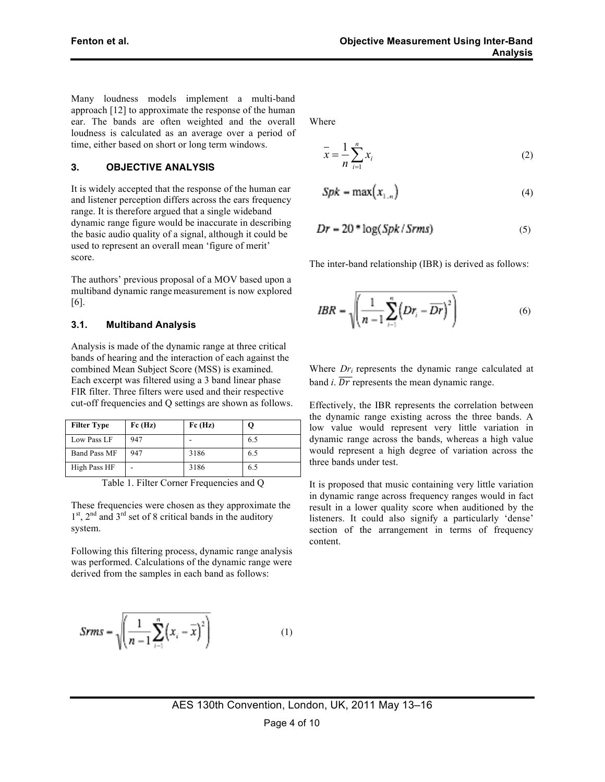Many loudness models implement a multi-band approach [12] to approximate the response of the human ear. The bands are often weighted and the overall loudness is calculated as an average over a period of time, either based on short or long term windows.

#### **3. OBJECTIVE ANALYSIS**

It is widely accepted that the response of the human ear and listener perception differs across the ears frequency range. It is therefore argued that a single wideband dynamic range figure would be inaccurate in describing the basic audio quality of a signal, although it could be used to represent an overall mean 'figure of merit' score.

The authors' previous proposal of a MOV based upon a multiband dynamic range measurement is now explored [6].

#### **3.1. Multiband Analysis**

Analysis is made of the dynamic range at three critical bands of hearing and the interaction of each against the combined Mean Subject Score (MSS) is examined. Each excerpt was filtered using a 3 band linear phase FIR filter. Three filters were used and their respective cut-off frequencies and Q settings are shown as follows.

| <b>Filter Type</b>  | Fc(Hz) | Fc(Hz) |     |
|---------------------|--------|--------|-----|
| Low Pass LF         | 947    |        | 6.5 |
| <b>Band Pass MF</b> | 947    | 3186   | 6.5 |
| High Pass HF        | -      | 3186   | 6.5 |

Table 1. Filter Corner Frequencies and Q

These frequencies were chosen as they approximate the  $1<sup>st</sup>$ ,  $2<sup>nd</sup>$  and  $3<sup>rd</sup>$  set of 8 critical bands in the auditory system.

Following this filtering process, dynamic range analysis was performed. Calculations of the dynamic range were derived from the samples in each band as follows:

$$
Srms = \sqrt{\left(\frac{1}{n-1}\sum_{i=1}^{n} (x_i - \overline{x})^2\right)}
$$
 (1)

Where

$$
\bar{x} = \frac{1}{n} \sum_{i=1}^{n} x_i
$$
 (2)

$$
Spk = \max(x_{1,n})
$$
 (4)

$$
Dr = 20 * \log(Spk/Srms)
$$
 (5)

The inter-band relationship (IBR) is derived as follows:

$$
IBR = \sqrt{\left(\frac{1}{n-1}\sum_{i=1}^{n} \left(Dr_i - \overline{Dr}\right)^2\right)}
$$
(6)

Where  $Dr_i$  represents the dynamic range calculated at band  $i$ .  $\overline{Dr}$  represents the mean dynamic range.

Effectively, the IBR represents the correlation between the dynamic range existing across the three bands. A low value would represent very little variation in dynamic range across the bands, whereas a high value would represent a high degree of variation across the three bands under test.

It is proposed that music containing very little variation in dynamic range across frequency ranges would in fact result in a lower quality score when auditioned by the listeners. It could also signify a particularly 'dense' section of the arrangement in terms of frequency content.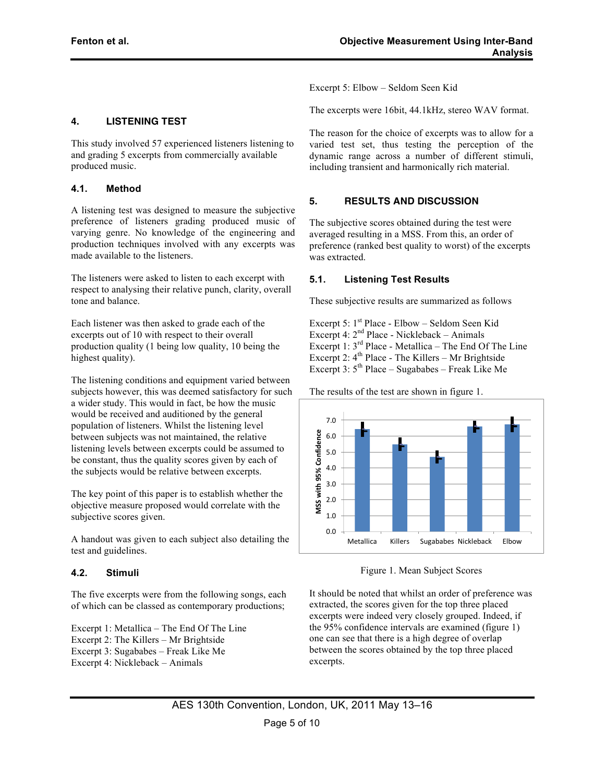produced music.

**4.1. Method**

tone and balance.

highest quality).

**4. LISTENING TEST**

made available to the listeners.

Excerpt 5: Elbow – Seldom Seen Kid

The excerpts were 16bit, 44.1kHz, stereo WAV format.

The reason for the choice of excerpts was to allow for a varied test set, thus testing the perception of the dynamic range across a number of different stimuli, including transient and harmonically rich material.

#### **5. RESULTS AND DISCUSSION**

The subjective scores obtained during the test were averaged resulting in a MSS. From this, an order of preference (ranked best quality to worst) of the excerpts was extracted.

#### **5.1. Listening Test Results**

These subjective results are summarized as follows

Excerpt 5:  $1^{st}$  Place - Elbow – Seldom Seen Kid Excerpt 4:  $2<sup>nd</sup>$  Place - Nickleback – Animals Excerpt 1: 3rd Place - Metallica – The End Of The Line Excerpt 2:  $4<sup>th</sup>$  Place - The Killers – Mr Brightside Excerpt 3:  $5<sup>th</sup>$  Place – Sugababes – Freak Like Me

The listening conditions and equipment varied between subjects however, this was deemed satisfactory for such a wider study. This would in fact, be how the music would be received and auditioned by the general population of listeners. Whilst the listening level between subjects was not maintained, the relative listening levels between excerpts could be assumed to be constant, thus the quality scores given by each of the subjects would be relative between excerpts.

This study involved 57 experienced listeners listening to and grading 5 excerpts from commercially available

A listening test was designed to measure the subjective preference of listeners grading produced music of varying genre. No knowledge of the engineering and production techniques involved with any excerpts was

The listeners were asked to listen to each excerpt with respect to analysing their relative punch, clarity, overall

Each listener was then asked to grade each of the excerpts out of 10 with respect to their overall production quality (1 being low quality, 10 being the

The key point of this paper is to establish whether the objective measure proposed would correlate with the subjective scores given.

A handout was given to each subject also detailing the test and guidelines.

#### **4.2. Stimuli**

The five excerpts were from the following songs, each of which can be classed as contemporary productions;

Excerpt 1: Metallica – The End Of The Line Excerpt 2: The Killers – Mr Brightside Excerpt 3: Sugababes – Freak Like Me Excerpt 4: Nickleback – Animals

The results of the test are shown in figure 1.



Figure 1. Mean Subject Scores

It should be noted that whilst an order of preference was extracted, the scores given for the top three placed excerpts were indeed very closely grouped. Indeed, if the 95% confidence intervals are examined (figure 1) one can see that there is a high degree of overlap between the scores obtained by the top three placed excerpts.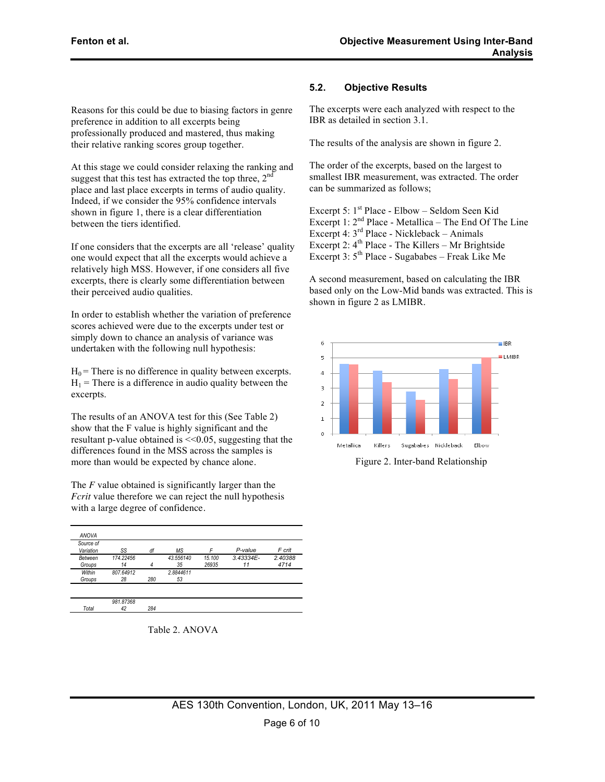Reasons for this could be due to biasing factors in genre preference in addition to all excerpts being professionally produced and mastered, thus making their relative ranking scores group together.

At this stage we could consider relaxing the ranking and suggest that this test has extracted the top three,  $2<sup>n</sup>$ place and last place excerpts in terms of audio quality. Indeed, if we consider the 95% confidence intervals shown in figure 1, there is a clear differentiation between the tiers identified.

If one considers that the excerpts are all 'release' quality one would expect that all the excerpts would achieve a relatively high MSS. However, if one considers all five excerpts, there is clearly some differentiation between their perceived audio qualities.

In order to establish whether the variation of preference scores achieved were due to the excerpts under test or simply down to chance an analysis of variance was undertaken with the following null hypothesis:

 $H_0$  = There is no difference in quality between excerpts.  $H_1$  = There is a difference in audio quality between the excerpts.

The results of an ANOVA test for this (See Table 2) show that the F value is highly significant and the resultant p-value obtained is  $\leq 0.05$ , suggesting that the differences found in the MSS across the samples is more than would be expected by chance alone.

The *F* value obtained is significantly larger than the *Fcrit* value therefore we can reject the null hypothesis with a large degree of confidence.

| <b>ANOVA</b>           |                 |     |                 |                 |                    |                 |
|------------------------|-----------------|-----|-----------------|-----------------|--------------------|-----------------|
| Source of<br>Variation | SS              | df  | ΜS              | E               | P-value            | F crit          |
| Between<br>Groups      | 174.22456<br>14 | 4   | 43.556140<br>35 | 15.100<br>26935 | $3.43334E -$<br>11 | 2.40388<br>4714 |
| Within<br>Groups       | 807.64912<br>28 | 280 | 2.8844611<br>53 |                 |                    |                 |
|                        |                 |     |                 |                 |                    |                 |
| Total                  | 981.87368<br>42 | 284 |                 |                 |                    |                 |

Table 2. ANOVA

## **5.2. Objective Results**

The excerpts were each analyzed with respect to the IBR as detailed in section 3.1.

The results of the analysis are shown in figure 2.

The order of the excerpts, based on the largest to smallest IBR measurement, was extracted. The order can be summarized as follows;

Excerpt 5:  $1<sup>st</sup>$  Place - Elbow – Seldom Seen Kid Excerpt 1:  $2<sup>nd</sup>$  Place - Metallica – The End Of The Line Excerpt 4: 3rd Place - Nickleback – Animals Excerpt 2:  $4<sup>th</sup>$  Place - The Killers – Mr Brightside Excerpt 3:  $5<sup>th</sup>$  Place - Sugababes – Freak Like Me

A second measurement, based on calculating the IBR based only on the Low-Mid bands was extracted. This is shown in figure 2 as LMIBR.



Figure 2. Inter-band Relationship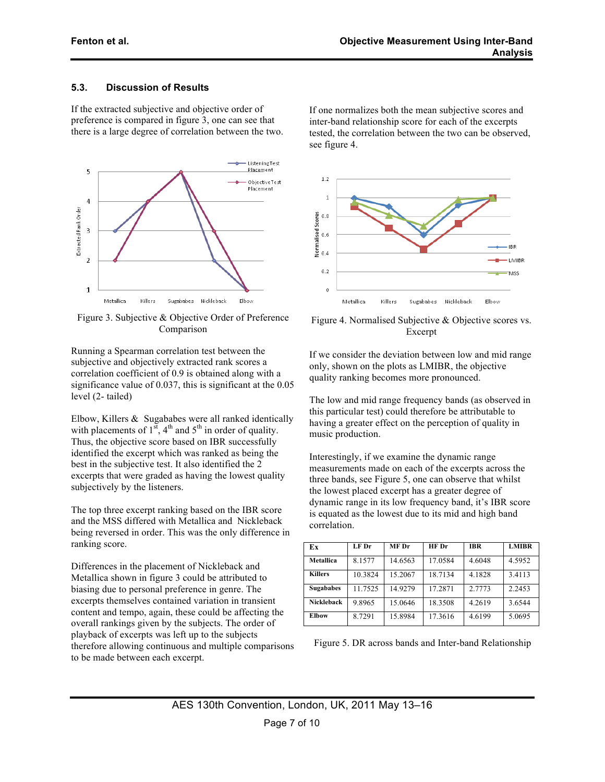## **5.3. Discussion of Results**

If the extracted subjective and objective order of preference is compared in figure 3, one can see that there is a large degree of correlation between the two.



Figure 3. Subjective & Objective Order of Preference Comparison

Running a Spearman correlation test between the subjective and objectively extracted rank scores a correlation coefficient of 0.9 is obtained along with a significance value of 0.037, this is significant at the 0.05 level (2- tailed)

Elbow, Killers & Sugababes were all ranked identically with placements of  $1^{st}$ ,  $4^{th}$  and  $5^{th}$  in order of quality. Thus, the objective score based on IBR successfully identified the excerpt which was ranked as being the best in the subjective test. It also identified the 2 excerpts that were graded as having the lowest quality subjectively by the listeners.

The top three excerpt ranking based on the IBR score and the MSS differed with Metallica and Nickleback being reversed in order. This was the only difference in ranking score.

Differences in the placement of Nickleback and Metallica shown in figure 3 could be attributed to biasing due to personal preference in genre. The excerpts themselves contained variation in transient content and tempo, again, these could be affecting the overall rankings given by the subjects. The order of playback of excerpts was left up to the subjects therefore allowing continuous and multiple comparisons to be made between each excerpt.

If one normalizes both the mean subjective scores and inter-band relationship score for each of the excerpts tested, the correlation between the two can be observed, see figure 4.



Figure 4. Normalised Subjective & Objective scores vs. Excerpt

If we consider the deviation between low and mid range only, shown on the plots as LMIBR, the objective quality ranking becomes more pronounced.

The low and mid range frequency bands (as observed in this particular test) could therefore be attributable to having a greater effect on the perception of quality in music production.

Interestingly, if we examine the dynamic range measurements made on each of the excerpts across the three bands, see Figure 5, one can observe that whilst the lowest placed excerpt has a greater degree of dynamic range in its low frequency band, it's IBR score is equated as the lowest due to its mid and high band correlation.

| Ex                | $LF$ Dr | MF Dr   | HF Dr   | <b>IBR</b> | <b>LMIBR</b> |
|-------------------|---------|---------|---------|------------|--------------|
| <b>Metallica</b>  | 8.1577  | 14.6563 | 17.0584 | 4.6048     | 4.5952       |
| <b>Killers</b>    | 10.3824 | 15.2067 | 18.7134 | 4.1828     | 3.4113       |
| <b>Sugababes</b>  | 11.7525 | 14.9279 | 17.2871 | 2.7773     | 2.2453       |
| <b>Nickleback</b> | 9.8965  | 15.0646 | 18.3508 | 4.2619     | 3.6544       |
| <b>Elbow</b>      | 8.7291  | 15.8984 | 17.3616 | 4.6199     | 5.0695       |

Figure 5. DR across bands and Inter-band Relationship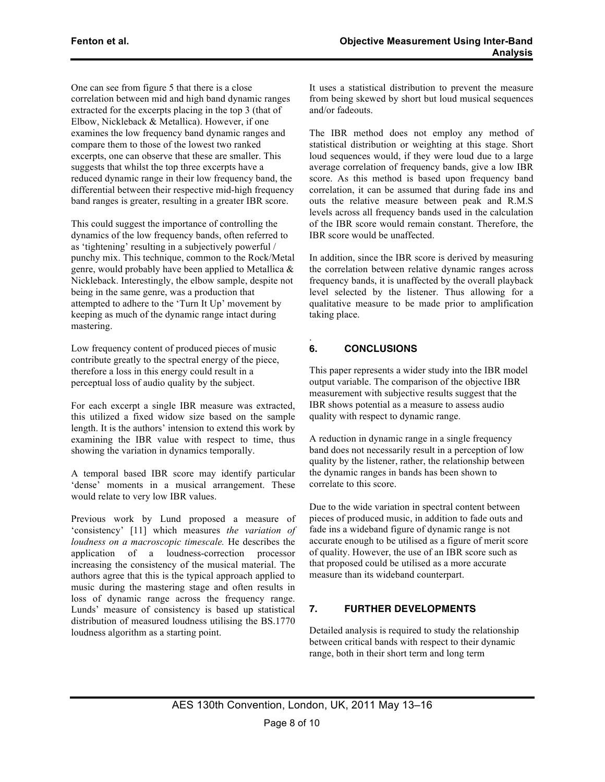One can see from figure 5 that there is a close correlation between mid and high band dynamic ranges extracted for the excerpts placing in the top 3 (that of Elbow, Nickleback & Metallica). However, if one examines the low frequency band dynamic ranges and compare them to those of the lowest two ranked excerpts, one can observe that these are smaller. This suggests that whilst the top three excerpts have a reduced dynamic range in their low frequency band, the differential between their respective mid-high frequency band ranges is greater, resulting in a greater IBR score.

This could suggest the importance of controlling the dynamics of the low frequency bands, often referred to as 'tightening' resulting in a subjectively powerful / punchy mix. This technique, common to the Rock/Metal genre, would probably have been applied to Metallica & Nickleback. Interestingly, the elbow sample, despite not being in the same genre, was a production that attempted to adhere to the 'Turn It Up' movement by keeping as much of the dynamic range intact during mastering.

Low frequency content of produced pieces of music contribute greatly to the spectral energy of the piece, therefore a loss in this energy could result in a perceptual loss of audio quality by the subject.

For each excerpt a single IBR measure was extracted, this utilized a fixed widow size based on the sample length. It is the authors' intension to extend this work by examining the IBR value with respect to time, thus showing the variation in dynamics temporally.

A temporal based IBR score may identify particular 'dense' moments in a musical arrangement. These would relate to very low IBR values.

Previous work by Lund proposed a measure of 'consistency' [11] which measures *the variation of loudness on a macroscopic timescale.* He describes the application of a loudness-correction processor increasing the consistency of the musical material. The authors agree that this is the typical approach applied to music during the mastering stage and often results in loss of dynamic range across the frequency range. Lunds' measure of consistency is based up statistical distribution of measured loudness utilising the BS.1770 loudness algorithm as a starting point.

It uses a statistical distribution to prevent the measure from being skewed by short but loud musical sequences and/or fadeouts.

The IBR method does not employ any method of statistical distribution or weighting at this stage. Short loud sequences would, if they were loud due to a large average correlation of frequency bands, give a low IBR score. As this method is based upon frequency band correlation, it can be assumed that during fade ins and outs the relative measure between peak and R.M.S levels across all frequency bands used in the calculation of the IBR score would remain constant. Therefore, the IBR score would be unaffected.

In addition, since the IBR score is derived by measuring the correlation between relative dynamic ranges across frequency bands, it is unaffected by the overall playback level selected by the listener. Thus allowing for a qualitative measure to be made prior to amplification taking place.

#### . **6. CONCLUSIONS**

This paper represents a wider study into the IBR model output variable. The comparison of the objective IBR measurement with subjective results suggest that the IBR shows potential as a measure to assess audio quality with respect to dynamic range.

A reduction in dynamic range in a single frequency band does not necessarily result in a perception of low quality by the listener, rather, the relationship between the dynamic ranges in bands has been shown to correlate to this score.

Due to the wide variation in spectral content between pieces of produced music, in addition to fade outs and fade ins a wideband figure of dynamic range is not accurate enough to be utilised as a figure of merit score of quality. However, the use of an IBR score such as that proposed could be utilised as a more accurate measure than its wideband counterpart.

# **7. FURTHER DEVELOPMENTS**

Detailed analysis is required to study the relationship between critical bands with respect to their dynamic range, both in their short term and long term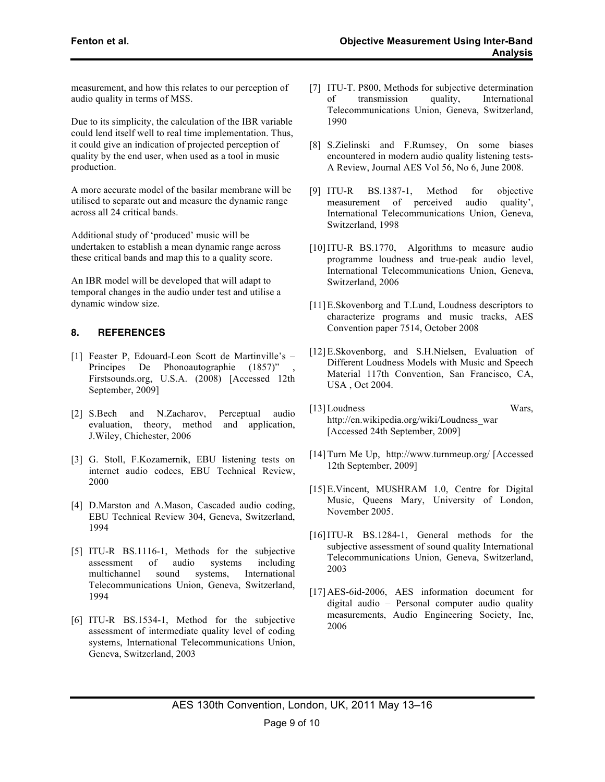measurement, and how this relates to our perception of audio quality in terms of MSS.

Due to its simplicity, the calculation of the IBR variable could lend itself well to real time implementation. Thus, it could give an indication of projected perception of quality by the end user, when used as a tool in music production.

A more accurate model of the basilar membrane will be utilised to separate out and measure the dynamic range across all 24 critical bands.

Additional study of 'produced' music will be undertaken to establish a mean dynamic range across these critical bands and map this to a quality score.

An IBR model will be developed that will adapt to temporal changes in the audio under test and utilise a dynamic window size.

## **8. REFERENCES**

- [1] Feaster P, Edouard-Leon Scott de Martinville's Principes De Phonoautographie (1857)" Firstsounds.org, U.S.A. (2008) [Accessed 12th September, 2009]
- [2] S.Bech and N.Zacharov, Perceptual audio evaluation, theory, method and application, J.Wiley, Chichester, 2006
- [3] G. Stoll, F.Kozamernik, EBU listening tests on internet audio codecs, EBU Technical Review, 2000
- [4] D.Marston and A.Mason, Cascaded audio coding, EBU Technical Review 304, Geneva, Switzerland, 1994
- [5] ITU-R BS.1116-1, Methods for the subjective assessment of audio systems including multichannel sound systems, International Telecommunications Union, Geneva, Switzerland, 1994
- [6] ITU-R BS.1534-1, Method for the subjective assessment of intermediate quality level of coding systems, International Telecommunications Union, Geneva, Switzerland, 2003
- [7] ITU-T. P800, Methods for subjective determination of transmission quality, International Telecommunications Union, Geneva, Switzerland, 1990
- [8] S.Zielinski and F.Rumsey, On some biases encountered in modern audio quality listening tests-A Review, Journal AES Vol 56, No 6, June 2008.
- [9] ITU-R BS.1387-1, Method for objective measurement of perceived audio quality', International Telecommunications Union, Geneva, Switzerland, 1998
- [10]ITU-R BS.1770, Algorithms to measure audio programme loudness and true-peak audio level, International Telecommunications Union, Geneva, Switzerland, 2006
- [11] E.Skovenborg and T.Lund, Loudness descriptors to characterize programs and music tracks, AES Convention paper 7514, October 2008
- [12] E.Skovenborg, and S.H.Nielsen, Evaluation of Different Loudness Models with Music and Speech Material 117th Convention, San Francisco, CA, USA , Oct 2004.
- [13]Loudness Wars, http://en.wikipedia.org/wiki/Loudness\_war [Accessed 24th September, 2009]
- [14]Turn Me Up, http://www.turnmeup.org/ [Accessed 12th September, 2009]
- [15]E.Vincent, MUSHRAM 1.0, Centre for Digital Music, Queens Mary, University of London, November 2005.
- [16]ITU-R BS.1284-1, General methods for the subjective assessment of sound quality International Telecommunications Union, Geneva, Switzerland, 2003
- [17]AES-6id-2006, AES information document for digital audio – Personal computer audio quality measurements, Audio Engineering Society, Inc, 2006